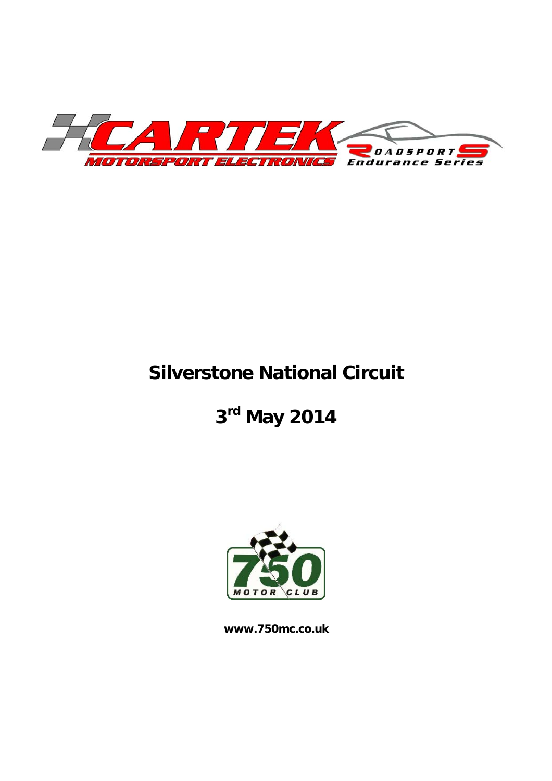

## **Silverstone National Circuit**

**3rd May 2014** 



**www.750mc.co.uk**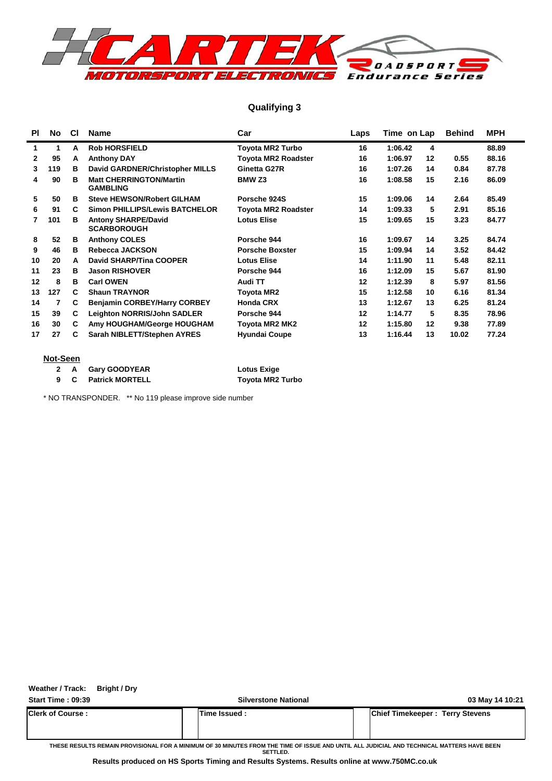

#### **Qualifying 3**

| <b>PI</b>    | No. | CI | <b>Name</b>                                       | Car                        | Laps | Time on Lap        | <b>Behind</b> | <b>MPH</b> |
|--------------|-----|----|---------------------------------------------------|----------------------------|------|--------------------|---------------|------------|
| 1            | 1   | A  | <b>Rob HORSFIELD</b>                              | <b>Toyota MR2 Turbo</b>    | 16   | 1:06.42<br>4       |               | 88.89      |
| $\mathbf{2}$ | 95  | А  | <b>Anthony DAY</b>                                | <b>Toyota MR2 Roadster</b> | 16   | 1:06.97<br>$12 \,$ | 0.55          | 88.16      |
| 3            | 119 | в  | David GARDNER/Christopher MILLS                   | Ginetta G27R               | 16   | 1:07.26<br>14      | 0.84          | 87.78      |
| 4            | 90  | в  | <b>Matt CHERRINGTON/Martin</b><br><b>GAMBLING</b> | BMW <sub>Z3</sub>          | 16   | 1:08.58<br>15      | 2.16          | 86.09      |
| 5            | 50  | в  | <b>Steve HEWSON/Robert GILHAM</b>                 | Porsche 924S               | 15   | 1:09.06<br>14      | 2.64          | 85.49      |
| 6            | 91  | C. | <b>Simon PHILLIPS/Lewis BATCHELOR</b>             | <b>Toyota MR2 Roadster</b> | 14   | 1:09.33<br>5       | 2.91          | 85.16      |
| 7            | 101 | в  | <b>Antony SHARPE/David</b><br><b>SCARBOROUGH</b>  | <b>Lotus Elise</b>         | 15   | 1:09.65<br>15      | 3.23          | 84.77      |
| 8            | 52  | в  | <b>Anthony COLES</b>                              | Porsche 944                | 16   | 1:09.67<br>14      | 3.25          | 84.74      |
| 9            | 46  | в  | Rebecca JACKSON                                   | <b>Porsche Boxster</b>     | 15   | 1:09.94<br>14      | 3.52          | 84.42      |
| 10           | 20  | A  | <b>David SHARP/Tina COOPER</b>                    | <b>Lotus Elise</b>         | 14   | 1:11.90<br>11      | 5.48          | 82.11      |
| 11           | 23  | в  | <b>Jason RISHOVER</b>                             | Porsche 944                | 16   | 1:12.09<br>15      | 5.67          | 81.90      |
| 12           | 8   | в  | <b>Carl OWEN</b>                                  | Audi TT                    | 12   | 1:12.39<br>8       | 5.97          | 81.56      |
| 13           | 127 | C  | <b>Shaun TRAYNOR</b>                              | <b>Toyota MR2</b>          | 15   | 1:12.58<br>10      | 6.16          | 81.34      |
| 14           | 7   | C  | <b>Benjamin CORBEY/Harry CORBEY</b>               | <b>Honda CRX</b>           | 13   | 1:12.67<br>13      | 6.25          | 81.24      |
| 15           | 39  | C  | <b>Leighton NORRIS/John SADLER</b>                | Porsche 944                | 12   | 1:14.77<br>5       | 8.35          | 78.96      |
| 16           | 30  | C. | Amy HOUGHAM/George HOUGHAM                        | <b>Toyota MR2 MK2</b>      | 12   | 1:15.80<br>12      | 9.38          | 77.89      |
| 17           | 27  | C  | Sarah NIBLETT/Stephen AYRES                       | <b>Hyundai Coupe</b>       | 13   | 1:16.44<br>13      | 10.02         | 77.24      |

#### **Not-Seen**

|  | 2 A Gary GOODYEAR   | <b>Lotus Exige</b>      |
|--|---------------------|-------------------------|
|  | 9 C Patrick MORTELL | <b>Toyota MR2 Turbo</b> |

\* NO TRANSPONDER. \*\* No 119 please improve side number

**Weather / Track: Bright / Dry**

**Start Time : 09:39 Silverstone National 03 May 14 10:21**

**Clerk of Course : Time Issued : Chief Timekeeper : Terry Stevens**

**THESE RESULTS REMAIN PROVISIONAL FOR A MINIMUM OF 30 MINUTES FROM THE TIME OF ISSUE AND UNTIL ALL JUDICIAL AND TECHNICAL MATTERS HAVE BEEN SETTLED.**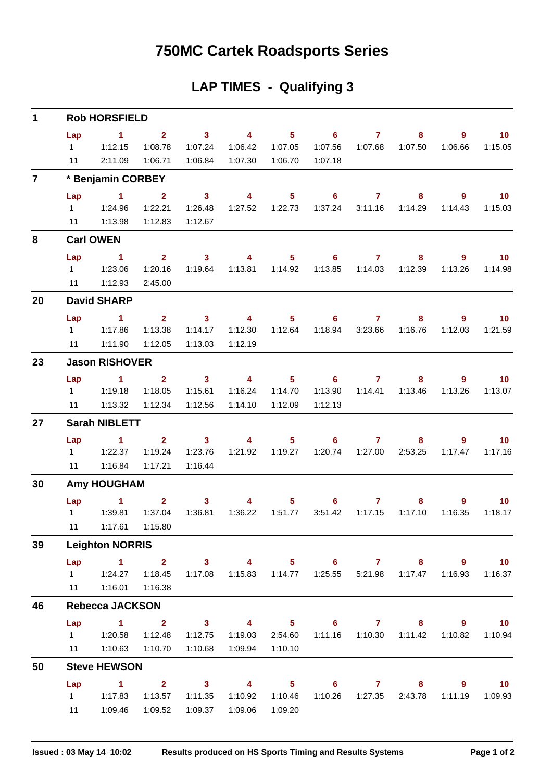### **750MC Cartek Roadsports Series**

### **LAP TIMES - Qualifying 3**

| $\mathbf 1$    |                                     | <b>Rob HORSFIELD</b>                                                      |                                      |                                               |                                               |                                                  |                                         |                           |                                |                           |                                     |
|----------------|-------------------------------------|---------------------------------------------------------------------------|--------------------------------------|-----------------------------------------------|-----------------------------------------------|--------------------------------------------------|-----------------------------------------|---------------------------|--------------------------------|---------------------------|-------------------------------------|
|                | Lap<br>$1 \quad \Box$<br>11         | $\sim$ 1<br>1:12.15<br>2:11.09                                            | $\overline{2}$<br>1:08.78<br>1:06.71 | $\sim$ 3<br>1:07.24<br>1:06.84                | $\overline{4}$<br>1:06.42<br>1:07.30          | 1:07.05<br>1:06.70                               | $5 \t\t 6$<br>1:07.56<br>1:07.18        | $\overline{7}$<br>1:07.68 | 8<br>1:07.50                   | 9<br>1:06.66              | $\blacksquare$ 10<br>1:15.05        |
| $\overline{7}$ |                                     | * Benjamin CORBEY                                                         |                                      |                                               |                                               |                                                  |                                         |                           |                                |                           |                                     |
|                | Lap                                 | $\blacktriangleleft$<br>11 1:13.98                                        | 2 <sup>1</sup><br>1:22.21<br>1:12.83 | $\overline{\mathbf{3}}$<br>1:26.48<br>1:12.67 | $\overline{4}$                                | 5 <sub>5</sub>                                   | 6<br>1:37.24                            | $\mathbf{7}$              | 8<br>3:11.16  1:14.29          | $\overline{9}$<br>1:14.43 | $\overline{\mathbf{10}}$<br>1:15.03 |
| 8              |                                     | <b>Carl OWEN</b>                                                          |                                      |                                               |                                               |                                                  |                                         |                           |                                |                           |                                     |
|                | Lap                                 | $\sim$ 1                                                                  |                                      | $2 \t 3$                                      | $\sim$ 4                                      |                                                  | $5 \t\t 6 \t\t 7$                       |                           | 8                              | 9                         | $\blacksquare$ 10                   |
|                | $1 \quad \Box$<br>11                | 1:23.06<br>1:12.93                                                        | 1:20.16<br>2:45.00                   | 1:19.64                                       | 1:13.81                                       | 1:14.92                                          | 1:13.85                                 | 1:14.03                   | 1:12.39                        | 1:13.26                   | 1:14.98                             |
| 20             |                                     | <b>David SHARP</b>                                                        |                                      |                                               |                                               |                                                  |                                         |                           |                                |                           |                                     |
|                | Lap<br>$1 \quad \Box$<br>11         | $\blacktriangleleft$<br>1:17.86<br>1:11.90                                | $2^{\circ}$<br>1:13.38<br>1:12.05    | $\overline{\mathbf{3}}$<br>1:14.17<br>1:13.03 | $\overline{4}$<br>1:12.30<br>1:12.19          | 5 <sup>1</sup><br>1:12.64                        | 6<br>1:18.94                            | $\mathbf{7}$              | 8<br>3:23.66 1:16.76           | 9<br>1:12.03              | 10<br>1:21.59                       |
| 23             |                                     | <b>Jason RISHOVER</b>                                                     |                                      |                                               |                                               |                                                  |                                         |                           |                                |                           |                                     |
|                | Lap<br>$1 \quad \blacksquare$<br>11 | $\sim$ $\sim$ 1<br>1:19.18<br>1:13.32                                     | $2^{\circ}$<br>1:18.05<br>1:12.34    | $\sim$ 3<br>1:15.61<br>1:12.56                | $\overline{\mathbf{4}}$<br>1:16.24<br>1:14.10 | 1:14.70<br>1:12.09                               | $5 \t\t 6 \t\t 7$<br>1:13.90<br>1:12.13 | 1:14.41                   | 8<br>1:13.46                   | 9<br>1:13.26              | $\blacksquare$ 10<br>1:13.07        |
| 27             |                                     | <b>Sarah NIBLETT</b>                                                      |                                      |                                               |                                               |                                                  |                                         |                           |                                |                           |                                     |
|                | Lap                                 | 1<br>$1 \t 1:22.37$<br>11  1:16.84                                        | $2^{\circ}$<br>1:19.24<br>1:17.21    | $\overline{\mathbf{3}}$<br>1:23.76<br>1:16.44 | $\overline{4}$                                | 5 <sub>1</sub>                                   | $6 -$                                   | $\mathbf{7}$              | 8<br>1:20.74  1:27.00  2:53.25 | 9<br>1:17.47              | 10 <sup>°</sup><br>1:17.16          |
| 30             |                                     | <b>Amy HOUGHAM</b>                                                        |                                      |                                               |                                               |                                                  |                                         |                           |                                |                           |                                     |
|                |                                     | Lap 1<br>11  1:17.61  1:15.80                                             | $\overline{\mathbf{2}}$<br>1:37.04   | $\sim$ 3<br>1:36.81                           | 4<br>1:36.22                                  | 1:51.77                                          | $5 \t\t 6 \t\t 7$<br>3:51.42            | 1:17.15                   | 8<br>1:17.10                   | 9<br>1:16.35              | $\blacksquare$ 10<br>1:18.17        |
| 39             |                                     | <b>Leighton NORRIS</b>                                                    |                                      |                                               |                                               |                                                  |                                         |                           |                                |                           |                                     |
|                |                                     | Lap 1 2 3 4 5 6 7 8 9 10<br>1   1:24.27   1:18.45<br>11  1:16.01  1:16.38 |                                      | 1:17.08                                       |                                               |                                                  |                                         |                           |                                | 1:16.93                   | 1:16.37                             |
| 46             |                                     | <b>Rebecca JACKSON</b>                                                    |                                      |                                               |                                               |                                                  |                                         |                           |                                |                           |                                     |
|                |                                     | Lap 1 2 3 4 5 6 7 8 9<br>11  1:10.63  1:10.70                             | 1:12.48                              | 1:12.75<br>1:10.68                            | 1:19.03<br>1:09.94                            | 2:54.60<br>1:10.10                               |                                         |                           | 1:11.16  1:10.30  1:11.42      | 1:10.82                   | $\overline{10}$<br>1:10.94          |
| 50             |                                     | <b>Steve HEWSON</b>                                                       |                                      |                                               |                                               |                                                  |                                         |                           |                                |                           |                                     |
|                | Lap                                 | $1 \t2 \t3 \t4$<br>1 1:17.83<br>11  1:09.46                               | 1:13.57<br>1:09.52                   | 1:11.35                                       | 1:10.92                                       | $\overline{\phantom{1}}$ 5<br>1:10.46<br>1:09.20 |                                         |                           | 6 7 8 9<br>2:43.78             | 1:11.19                   | $\blacksquare$ 10<br>1:09.93        |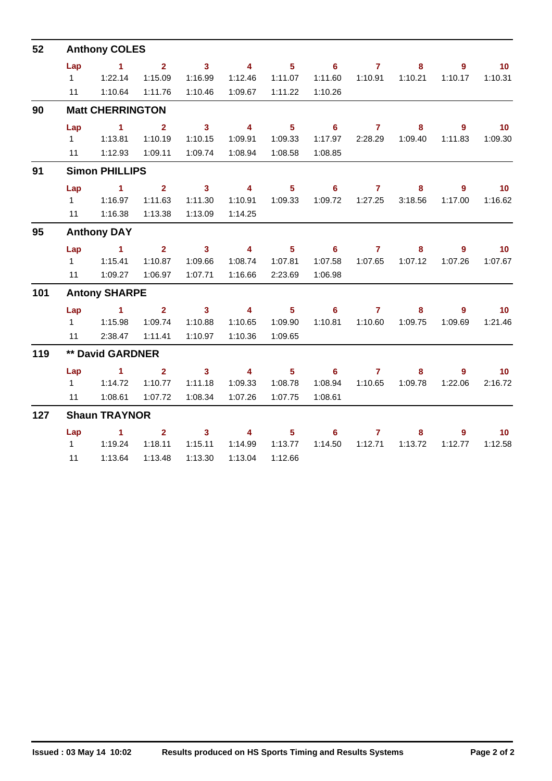| 52  |                | <b>Anthony COLES</b>    |                |                         |                         |                |                            |                |         |                |                 |
|-----|----------------|-------------------------|----------------|-------------------------|-------------------------|----------------|----------------------------|----------------|---------|----------------|-----------------|
|     | Lap            | $\sim$ 1                | $2^{\circ}$    | $\overline{\mathbf{3}}$ | $\overline{\mathbf{4}}$ | 5 <sup>1</sup> | $\overline{\phantom{0}}$ 6 | $\overline{7}$ | 8       | $\overline{9}$ | 10              |
|     | $1 \quad$      | 1:22.14                 | 1:15.09        | 1:16.99                 | 1:12.46                 | 1:11.07        | 1:11.60                    | 1:10.91        | 1:10.21 | 1:10.17        | 1:10.31         |
|     | 11             | 1:10.64                 | 1:11.76        | 1:10.46                 | 1:09.67                 | 1:11.22        | 1:10.26                    |                |         |                |                 |
| 90  |                | <b>Matt CHERRINGTON</b> |                |                         |                         |                |                            |                |         |                |                 |
|     | Lap            | $\sim$ 1                | $\mathbf{2}$   | 3 <sup>1</sup>          | $\overline{\mathbf{4}}$ | 5 <sup>1</sup> | 6 <sup>1</sup>             | $\mathbf{7}$   | 8       | 9              | 10              |
|     | $1 \quad$      | 1:13.81                 | 1:10.19        | 1:10.15                 | 1:09.91                 | 1:09.33        | 1:17.97                    | 2:28.29        | 1:09.40 | 1:11.83        | 1:09.30         |
|     | 11             | 1:12.93                 | 1:09.11        | 1:09.74                 | 1:08.94                 | 1:08.58        | 1:08.85                    |                |         |                |                 |
| 91  |                | <b>Simon PHILLIPS</b>   |                |                         |                         |                |                            |                |         |                |                 |
|     | Lap            | $\sim$ 1                | $\overline{2}$ | $\overline{\mathbf{3}}$ | $\overline{4}$          | 5 <sup>5</sup> | $6^{\circ}$                | $\mathbf{7}$   | 8       | 9              | 10              |
|     | $1 \quad$      | 1:16.97                 | 1:11.63        | 1:11.30                 | 1:10.91                 | 1:09.33        | 1:09.72                    | 1:27.25        | 3:18.56 | 1:17.00        | 1:16.62         |
|     | 11             | 1:16.38                 | 1:13.38        | 1:13.09                 | 1:14.25                 |                |                            |                |         |                |                 |
| 95  |                | <b>Anthony DAY</b>      |                |                         |                         |                |                            |                |         |                |                 |
|     | Lap            | $\sim$ 1                | 2 <sup>1</sup> | $\overline{\mathbf{3}}$ | $\overline{4}$          | 5 <sub>1</sub> | $\overline{\phantom{0}}$ 6 | $\mathbf{7}$   | 8       | 9              | $-10$           |
|     | $1 \quad$      | 1:15.41                 | 1:10.87        | 1:09.66                 | 1:08.74                 | 1:07.81        | 1:07.58                    | 1:07.65        | 1:07.12 | 1:07.26        | 1:07.67         |
|     | 11             | 1:09.27                 | 1:06.97        | 1:07.71                 | 1:16.66                 | 2:23.69        | 1:06.98                    |                |         |                |                 |
| 101 |                | <b>Antony SHARPE</b>    |                |                         |                         |                |                            |                |         |                |                 |
|     | Lap            | $\mathbf{1}$            | 2 <sup>1</sup> | 3 <sup>1</sup>          | $\overline{\mathbf{4}}$ | 5 <sub>5</sub> | 6                          | $\mathbf{7}$   | 8       | 9              | 10 <sub>1</sub> |
|     | $1 \quad \Box$ | 1:15.98                 | 1:09.74        | 1:10.88                 | 1:10.65                 | 1:09.90        | 1:10.81                    | 1:10.60        | 1:09.75 | 1:09.69        | 1:21.46         |
|     | 11             | 2:38.47                 | 1:11.41        | 1:10.97                 | 1:10.36                 | 1:09.65        |                            |                |         |                |                 |
| 119 |                | ** David GARDNER        |                |                         |                         |                |                            |                |         |                |                 |
|     | Lap            | $\blacksquare$ 1        | $\overline{2}$ | $\overline{\mathbf{3}}$ | $\overline{4}$          | 5 <sup>1</sup> | $\overline{\phantom{a}}$ 6 | $\overline{7}$ | 8       | 9              | 10              |
|     | $1 \quad$      | 1:14.72                 | 1:10.77        | 1:11.18                 | 1:09.33                 | 1:08.78        | 1:08.94                    | 1:10.65        | 1:09.78 | 1:22.06        | 2:16.72         |
|     | 11             | 1:08.61                 | 1:07.72        | 1:08.34                 | 1:07.26                 | 1:07.75        | 1:08.61                    |                |         |                |                 |
| 127 |                | <b>Shaun TRAYNOR</b>    |                |                         |                         |                |                            |                |         |                |                 |
|     | Lap            | $\sim$ 1                | $\overline{2}$ | 3 <sup>1</sup>          | $\overline{4}$          | 5 <sub>5</sub> | 6 <sup>1</sup>             | $\overline{7}$ | 8       | $9^{\circ}$    | 10 <sub>1</sub> |
|     | $1 \quad$      | 1:19.24                 | 1:18.11        | 1:15.11                 | 1:14.99                 | 1:13.77        | 1:14.50                    | 1:12.71        | 1:13.72 | 1:12.77        | 1:12.58         |
|     | 11             | 1:13.64                 | 1:13.48        | 1:13.30                 | 1:13.04                 | 1:12.66        |                            |                |         |                |                 |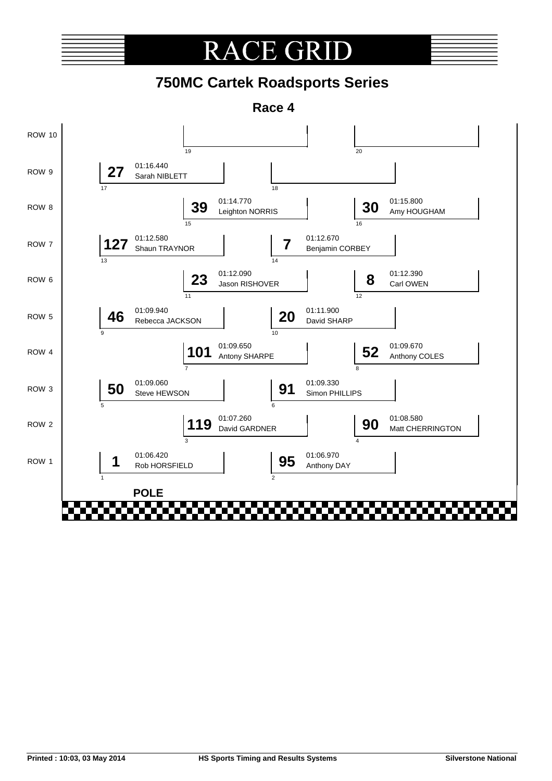#### CE GRI RA

### **750MC Cartek Roadsports Series**

**Race 4**

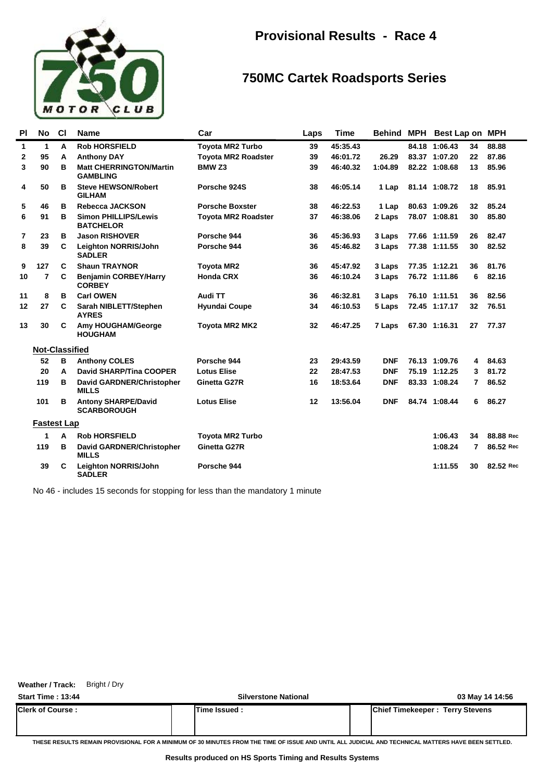

### **750MC Cartek Roadsports Series**

| PI           | No                    | <b>CI</b> | <b>Name</b>                                       | Car                        | Laps | <b>Time</b> | Behind     | MPH | Best Lap on   |    | <b>MPH</b> |
|--------------|-----------------------|-----------|---------------------------------------------------|----------------------------|------|-------------|------------|-----|---------------|----|------------|
| $\mathbf{1}$ | 1                     | A         | <b>Rob HORSFIELD</b>                              | <b>Toyota MR2 Turbo</b>    | 39   | 45:35.43    |            |     | 84.18 1:06.43 | 34 | 88.88      |
| 2            | 95                    | A         | <b>Anthony DAY</b>                                | <b>Toyota MR2 Roadster</b> | 39   | 46:01.72    | 26.29      |     | 83.37 1:07.20 | 22 | 87.86      |
| 3            | 90                    | в         | <b>Matt CHERRINGTON/Martin</b><br><b>GAMBLING</b> | BMW <sub>Z3</sub>          | 39   | 46:40.32    | 1:04.89    |     | 82.22 1:08.68 | 13 | 85.96      |
| 4            | 50                    | в         | <b>Steve HEWSON/Robert</b><br><b>GILHAM</b>       | Porsche 924S               | 38   | 46:05.14    | 1 Lap      |     | 81.14 1:08.72 | 18 | 85.91      |
| 5            | 46                    | в         | <b>Rebecca JACKSON</b>                            | <b>Porsche Boxster</b>     | 38   | 46:22.53    | 1 Lap      |     | 80.63 1:09.26 | 32 | 85.24      |
| 6            | 91                    | в         | <b>Simon PHILLIPS/Lewis</b><br><b>BATCHELOR</b>   | <b>Toyota MR2 Roadster</b> | 37   | 46:38.06    | 2 Laps     |     | 78.07 1:08.81 | 30 | 85.80      |
| 7            | 23                    | в         | <b>Jason RISHOVER</b>                             | Porsche 944                | 36   | 45:36.93    | 3 Laps     |     | 77.66 1:11.59 | 26 | 82.47      |
| 8            | 39                    | C         | <b>Leighton NORRIS/John</b><br><b>SADLER</b>      | Porsche 944                | 36   | 45:46.82    | 3 Laps     |     | 77.38 1:11.55 | 30 | 82.52      |
| 9            | 127                   | C         | <b>Shaun TRAYNOR</b>                              | <b>Toyota MR2</b>          | 36   | 45:47.92    | 3 Laps     |     | 77.35 1:12.21 | 36 | 81.76      |
| 10           | $\overline{7}$        | C         | <b>Benjamin CORBEY/Harry</b><br><b>CORBEY</b>     | <b>Honda CRX</b>           | 36   | 46:10.24    | 3 Laps     |     | 76.72 1:11.86 | 6  | 82.16      |
| 11           | 8                     | в         | <b>Carl OWEN</b>                                  | Audi TT                    | 36   | 46:32.81    | 3 Laps     |     | 76.10 1:11.51 | 36 | 82.56      |
| 12           | 27                    | C         | Sarah NIBLETT/Stephen<br><b>AYRES</b>             | <b>Hyundai Coupe</b>       | 34   | 46:10.53    | 5 Laps     |     | 72.45 1:17.17 | 32 | 76.51      |
| 13           | 30                    | C         | Amy HOUGHAM/George<br><b>HOUGHAM</b>              | <b>Toyota MR2 MK2</b>      | 32   | 46:47.25    | 7 Laps     |     | 67.30 1:16.31 | 27 | 77.37      |
|              | <b>Not-Classified</b> |           |                                                   |                            |      |             |            |     |               |    |            |
|              | 52                    | B         | <b>Anthony COLES</b>                              | Porsche 944                | 23   | 29:43.59    | <b>DNF</b> |     | 76.13 1:09.76 | 4  | 84.63      |
|              | 20                    | A         | <b>David SHARP/Tina COOPER</b>                    | <b>Lotus Elise</b>         | 22   | 28:47.53    | <b>DNF</b> |     | 75.19 1:12.25 | 3  | 81.72      |
|              | 119                   | в         | <b>David GARDNER/Christopher</b><br><b>MILLS</b>  | Ginetta G27R               | 16   | 18:53.64    | <b>DNF</b> |     | 83.33 1:08.24 | 7  | 86.52      |
|              | 101                   | в         | <b>Antony SHARPE/David</b><br><b>SCARBOROUGH</b>  | <b>Lotus Elise</b>         | 12   | 13:56.04    | <b>DNF</b> |     | 84.74 1:08.44 | 6  | 86.27      |
|              | <b>Fastest Lap</b>    |           |                                                   |                            |      |             |            |     |               |    |            |
|              | 1                     | A         | <b>Rob HORSFIELD</b>                              | <b>Toyota MR2 Turbo</b>    |      |             |            |     | 1:06.43       | 34 | 88.88 Rec  |
|              | 119                   | в         | David GARDNER/Christopher<br><b>MILLS</b>         | Ginetta G27R               |      |             |            |     | 1:08.24       | 7  | 86.52 Rec  |
|              | 39                    | C         | <b>Leighton NORRIS/John</b><br><b>SADLER</b>      | Porsche 944                |      |             |            |     | 1:11.55       | 30 | 82.52 Rec  |

No 46 - includes 15 seconds for stopping for less than the mandatory 1 minute

**Weather / Track:** Bright / Dry

| <b>Start Time: 13:44</b> | <b>Silverstone National</b> | 03 May 14 14:56                        |
|--------------------------|-----------------------------|----------------------------------------|
| <b>Clerk of Course :</b> | <b>Time Issued:</b>         | <b>Chief Timekeeper: Terry Stevens</b> |
|                          |                             |                                        |

**THESE RESULTS REMAIN PROVISIONAL FOR A MINIMUM OF 30 MINUTES FROM THE TIME OF ISSUE AND UNTIL ALL JUDICIAL AND TECHNICAL MATTERS HAVE BEEN SETTLED.**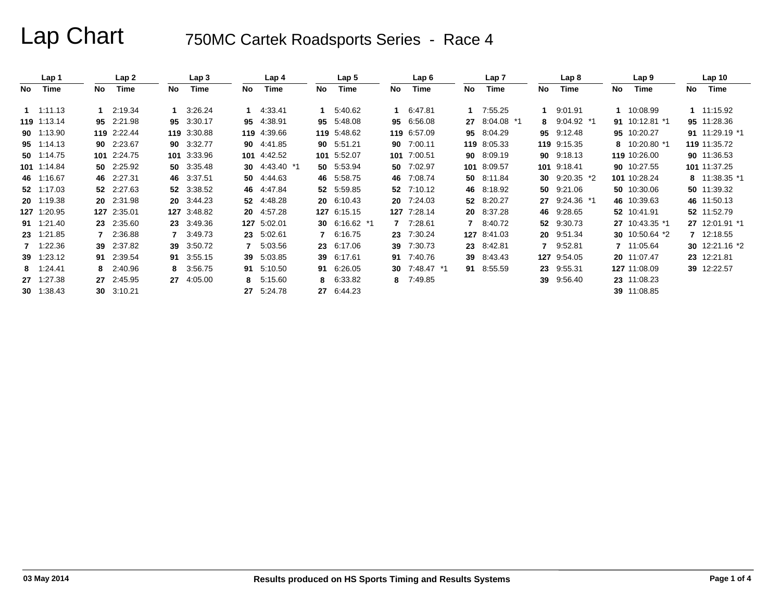|     | Lap 1       |    | Lap <sub>2</sub> |    | Lap 3       |     | Lap 4       |    | Lap <sub>5</sub> |    | Lap6          |    | Lap <sub>7</sub> |     | Lap 8        |    | Lap 9          |    | Lap <sub>10</sub> |
|-----|-------------|----|------------------|----|-------------|-----|-------------|----|------------------|----|---------------|----|------------------|-----|--------------|----|----------------|----|-------------------|
| No. | Time        | No | Time             | No | Time        | No  | Time        | No | <b>Time</b>      | No | Time          | No | Time             | No  | Time         | No | <b>Time</b>    | No | Time              |
|     | 1.11.13     |    | 2:19.34          |    | 3:26.24     |     | 4:33.41     |    | 5:40.62          |    | 6:47.81       |    | 7:55.25          |     | 9:01.91      |    | 10:08.99       |    | 1 11:15.92        |
|     | 119 1:13.14 | 95 | 2:21.98          | 95 | 3:30.17     | 95  | 4.38.91     | 95 | 5:48.08          | 95 | 6:56.08       | 27 | 8:04.08<br>*1    | 8   | $9:04.92$ *1 | 91 | 10:12.81 *1    |    | 95 11:28.36       |
|     | 90 1:13.90  |    | 119 2:22.44      |    | 119 3:30.88 |     | 119 4:39.66 |    | 119 5:48.62      |    | 119 6:57.09   | 95 | 8:04.29          | 95  | 9:12.48      | 95 | 10:20.27       |    | 91 11:29.19 *1    |
|     | 95 1:14.13  |    | 90 2:23.67       | 90 | 3:32.77     | 90  | 4:41.85     |    | 90 5:51.21       | 90 | 7:00.11       |    | 119 8:05.33      | 119 | 9:15.35      | 8  | 10:20.80 *1    |    | 119 11:35.72      |
|     | 50 1:14.75  |    | 101 2:24.75      |    | 101 3:33.96 | 101 | 4:42.52     |    | 101 5:52.07      |    | 101 7:00.51   | 90 | 8:09.19          | 90  | 9:18.13      |    | 119 10:26.00   |    | 90 11:36.53       |
|     | 101 1:14.84 |    | 50 2:25.92       |    | 50 3:35.48  | 30  | 4:43.40 *1  |    | 50 5:53.94       | 50 | 7:02.97       |    | 101 8:09.57      | 101 | 9:18.41      |    | 90 10:27.55    |    | 101 11:37.25      |
|     | 46 1:16.67  |    | 46 2:27.31       |    | 46 3:37.51  | 50  | 4:44.63     |    | 46 5:58.75       | 46 | 7:08.74       |    | 50 8:11.84       | 30  | $9:20.35$ *2 |    | 101 10:28.24   |    | 8 11:38.35 *1     |
|     | 52 1:17.03  |    | 52 2:27.63       | 52 | 3:38.52     | 46  | 4:47.84     |    | 52 5:59.85       |    | 52 7:10.12    |    | 46 8:18.92       | 50  | 9:21.06      |    | 50 10:30.06    |    | 50 11:39.32       |
|     | 20 1:19.38  | 20 | 2:31.98          | 20 | 3:44.23     | 52  | 4:48.28     |    | 20 6:10.43       |    | 20 7:24.03    | 52 | 8:20.27          | 27  | 9:24.36 *1   |    | 46 10:39.63    |    | 46 11:50.13       |
|     | 127 1:20.95 |    | 127 2:35.01      |    | 127 3:48.82 | 20  | 4:57.28     |    | 127 6:15.15      |    | 127 7:28.14   |    | 20 8:37.28       | 46  | 9:28.65      |    | 52 10:41.91    |    | 52 11:52.79       |
|     | 91 1:21.40  | 23 | 2:35.60          | 23 | 3:49.36     |     | 127 5:02.01 |    | 30 $6:16.62$ *1  |    | 7 7:28.61     |    | 8:40.72          | 52  | 9:30.73      |    | 27 10:43.35 *1 |    | 27 12:01.91 *1    |
|     | 23 1:21.85  |    | 2:36.88          |    | 3:49.73     | 23  | 5:02.61     |    | 6:16.75          | 23 | 7:30.24       |    | 127 8:41.03      | 20  | 9:51.34      |    | 30 10:50.64 *2 |    | 7 12:18.55        |
|     | 7 1:22.36   | 39 | 2:37.82          | 39 | 3:50.72     | 7   | 5:03.56     | 23 | 6:17.06          | 39 | 7:30.73       |    | 23 8:42.81       |     | 9:52.81      |    | 11:05.64       |    | 30 12:21.16 *2    |
|     | 39 1:23.12  | 91 | 2:39.54          | 91 | 3.55.15     | 39  | 5:03.85     | 39 | 6:17.61          |    | 91 7:40.76    | 39 | 8:43.43          | 127 | 9:54.05      |    | 20 11:07.47    |    | 23 12:21.81       |
|     | 8 1:24.41   | 8  | 2:40.96          | 8. | 3:56.75     | 91  | 5:10.50     | 91 | 6:26.05          |    | 30 7:48.47 *1 |    | 91 8:55.59       | 23  | 9:55.31      |    | 127 11:08.09   |    | 39 12:22.57       |
|     | 27 1:27.38  | 27 | 2:45.95          | 27 | 4:05.00     | 8   | 5:15.60     | 8  | 6:33.82          |    | 8 7:49.85     |    |                  | 39  | 9:56.40      |    | 23 11:08.23    |    |                   |
|     | 30 1:38.43  | 30 | 3:10.21          |    |             | 27  | 5:24.78     | 27 | 6:44.23          |    |               |    |                  |     |              |    | 39 11:08.85    |    |                   |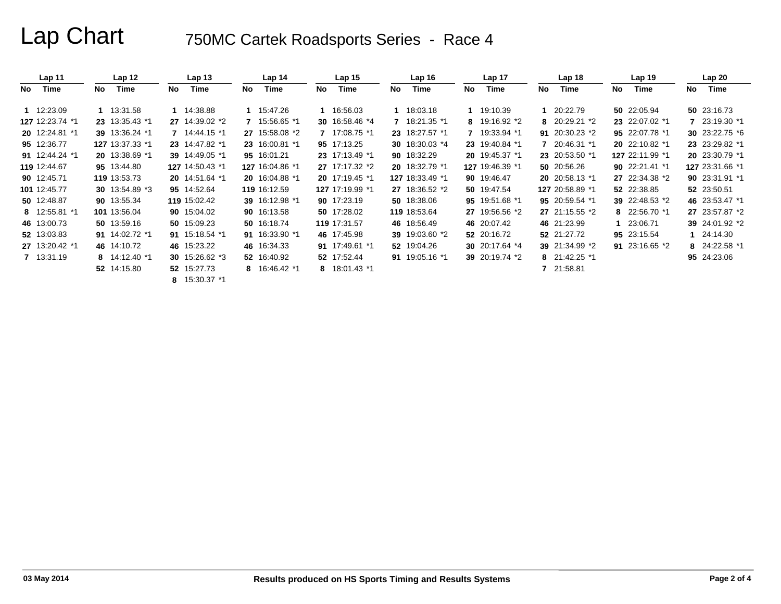|     | Lap <sub>11</sub> |    | Lap <sub>12</sub> |     | Lap 13          |     | Lap <sub>14</sub> |    | Lap <sub>15</sub> |    | Lap $16$        |    | Lap <sub>17</sub> |     | Lap 18           |    | Lap 19           |     | Lap20           |
|-----|-------------------|----|-------------------|-----|-----------------|-----|-------------------|----|-------------------|----|-----------------|----|-------------------|-----|------------------|----|------------------|-----|-----------------|
| No. | Time              | No | Time              | No. | Time            | No. | Time              | No | Time              | No | Time            | No | Time              | No. | Time             | No | Time             | No. | <b>Time</b>     |
|     | 1 12:23.09        |    | 1 13:31.58        |     | 1 14:38.88      | 1   | 15:47.26          |    | 1 16:56.03        |    | 1 18:03.18      |    | 19:10.39          |     | 1 20:22.79       |    | 50 22:05.94      |     | 50 23:16.73     |
|     | 127 12:23.74 *1   |    | 23 13:35.43 *1    |     | 27 14:39.02 *2  |     | 15:56.65 *1       |    | 30 16:58.46 *4    |    | 7 18:21.35 *1   |    | 8 19:16.92 *2     |     | 8 20:29.21 *2    |    | 23 22:07.02 *1   |     | 7 23:19.30 *1   |
|     | 20 12:24.81 *1    |    | 39 13:36.24 *1    |     | 7 14:44.15 *1   |     | 27 15:58.08 *2    |    | 7 17:08.75 *1     |    | 23 18:27.57 *1  |    | 7 19:33.94 *1     |     | 91 20:30.23 $*2$ |    | 95 22:07.78 *1   |     | 30 23:22.75 *6  |
|     | 95 12:36.77       |    | 127 13:37.33 *1   |     | 23 14:47.82 *1  |     | 23 16:00.81 *1    |    | 95 17:13.25       |    | 30 18:30.03 *4  |    | 23 19:40.84 *1    |     | 7 20:46.31 *1    |    | 20 22:10.82 *1   |     | 23 23:29.82 *1  |
|     | 91 12:44.24 *1    |    | 20 13:38.69 *1    |     | 39 14:49.05 *1  |     | 95 16:01.21       |    | 23 17:13.49 *1    |    | 90 18:32.29     |    | 20 19:45.37 *1    |     | 23 20:53.50 *1   |    | 127 22:11.99 *1  |     | 20 23:30.79 *1  |
|     | 119 12:44.67      |    | 95 13:44.80       |     | 127 14:50.43 *1 |     | 127 16:04.86 *1   |    | 27 17:17.32 *2    |    | 20 18:32.79 *1  |    | 127 19:46.39 *1   |     | 50 20:56.26      |    | 90 22:21.41 *1   |     | 127 23:31.66 *1 |
|     | 90 12:45.71       |    | 119 13:53.73      |     | 20 14:51.64 *1  |     | 20 16:04.88 *1    |    | 20 17:19.45 *1    |    | 127 18:33.49 *1 |    | 90 19:46.47       |     | 20 20:58.13 *1   |    | 27 22:34.38 *2   |     | 90 23:31.91 *1  |
|     | 101 12:45.77      |    | 30 13:54.89 *3    |     | 95 14:52.64     |     | 119 16:12.59      |    | 127 17:19.99 *1   |    | 27 18:36.52 *2  |    | 50 19:47.54       |     | 127 20:58.89 *1  |    | 52 22:38.85      |     | 52 23:50.51     |
|     | 50 12:48.87       |    | 90 13:55.34       |     | 119 15:02.42    |     | 39 16:12.98 *1    |    | 90 17:23.19       |    | 50 18:38.06     |    | 95 19:51.68 *1    |     | 95 20:59.54 *1   |    | 39 22:48.53 *2   |     | 46 23:53.47 *1  |
|     | 8 12:55.81 *1     |    | 101 13:56.04      |     | 90 15:04.02     |     | 90 16:13.58       |    | 50 17:28.02       |    | 119 18:53.64    |    | 27 19:56.56 *2    |     | 27 21:15.55 *2   |    | 8 22:56.70 *1    |     | 27 23:57.87 *2  |
|     | 46 13:00.73       |    | 50 13:59.16       |     | 50 15:09.23     |     | 50 16:18.74       |    | 119 17:31.57      |    | 46 18:56.49     |    | 46 20:07.42       |     | 46 21:23.99      |    | 23:06.71         |     | 39 24:01.92 *2  |
|     | 52 13:03.83       |    | 91 14:02.72 *1    |     | 91 15:18.54 *1  |     | 91 16:33.90 *1    |    | 46 17:45.98       |    | 39 19:03.60 *2  |    | 52 20:16.72       |     | 52 21:27.72      |    | 95 23:15.54      |     | 1 24:14.30      |
|     | 27 13:20.42 *1    |    | 46 14:10.72       |     | 46 15:23.22     |     | 46 16:34.33       |    | 91 17:49.61 *1    |    | 52 19:04.26     |    | 30 20:17.64 *4    |     | 39 21:34.99 *2   |    | 91 23:16.65 $*2$ |     | 8 24:22.58 *1   |
|     | 7 13:31.19        |    | 8 14:12.40 *1     |     | 30 15:26.62 *3  |     | 52 16:40.92       |    | 52 17:52.44       |    | 91 19:05.16 *1  |    | 39 20:19.74 *2    |     | 8 21:42.25 *1    |    |                  |     | 95 24:23.06     |
|     |                   |    | 52 14:15.80       |     | 52 15:27.73     |     | 8 16:46.42 *1     |    | 8 18:01.43 *1     |    |                 |    |                   |     | 7 21:58.81       |    |                  |     |                 |
|     |                   |    |                   |     | 8 15:30.37 *1   |     |                   |    |                   |    |                 |    |                   |     |                  |    |                  |     |                 |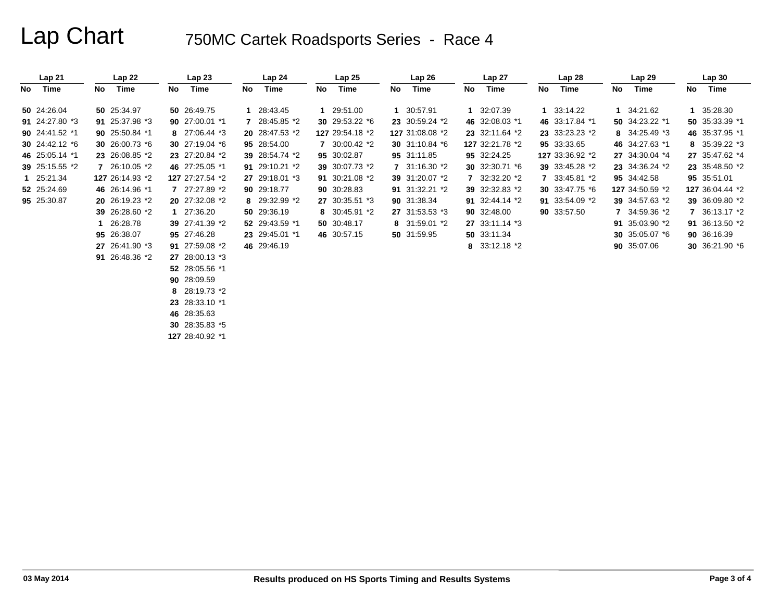|    | Lap21          |    | Lap22           |    | Lap <sub>23</sub>           |    | Lap <sub>24</sub> |    | Lap25           |    | Lap26           |    | Lap27           |    | Lap28             |    | Lap29           |    | Lap30           |
|----|----------------|----|-----------------|----|-----------------------------|----|-------------------|----|-----------------|----|-----------------|----|-----------------|----|-------------------|----|-----------------|----|-----------------|
| No | Time           | No | Time            | No | Time                        | No | Time              | No | Time            | No | Time            | No | Time            | No | Time              | No | Time            | No | Time            |
|    | 50 24:26.04    |    | 50 25:34.97     |    | 50 26:49.75                 |    | 1 28:43.45        |    | 1 29:51.00      |    | 1 30:57.91      |    | 1 32:07.39      |    | 1 33:14.22        |    | 1 34:21.62      |    | 1 35:28.30      |
|    | 91 24:27.80 *3 |    | 91 25:37.98 *3  |    | 90 27:00.01 *1              |    | 28:45.85 *2       |    | 30 29:53.22 *6  |    | 23 30:59.24 *2  |    | 46 32:08.03 *1  |    | 46 33:17.84 *1    |    | 50 34:23.22 *1  |    | 50 35:33.39 *1  |
|    | 90 24:41.52 *1 |    | 90 25:50.84 *1  |    | 8 27:06.44 *3               |    | 20 28:47.53 *2    |    | 127 29:54.18 *2 |    | 127 31:08.08 *2 |    | 23 32:11.64 *2  |    | 23 33:23.23 *2    |    | 8 34:25.49 *3   |    | 46 35:37.95 *1  |
|    | 30 24:42.12 *6 |    | 30 26:00.73 *6  |    | 30 27:19.04 $*$ 6           |    | 95 28:54.00       |    | 7 30:00.42 *2   |    | 30 31:10.84 *6  |    | 127 32:21.78 *2 |    | 95 33:33.65       |    | 46 34:27.63 *1  |    | 8 35:39.22 *3   |
|    | 46 25:05.14 *1 |    | 23 26:08.85 *2  |    | 23 27:20.84 *2              |    | 39 28:54.74 *2    |    | 95 30:02.87     |    | 95 31:11.85     |    | 95 32:24.25     |    | 127 33:36.92 *2   |    | 27 34:30.04 *4  |    | 27 35:47.62 *4  |
|    | 39 25:15.55 *2 |    | 7 26:10.05 *2   |    | 46 27:25.05 *1              |    | 91 29:10.21 *2    |    | 39 30:07.73 *2  |    | 7 31:16.30 *2   |    | 30 32:30.71 *6  |    | 39 33:45.28 *2    |    | 23 34:36.24 *2  |    | 23 35:48.50 *2  |
|    | 1 25:21.34     |    | 127 26:14.93 *2 |    | 127 27:27.54 *2             |    | 27 29:18.01 *3    |    | 91 30:21.08 *2  |    | 39 31:20.07 *2  |    | 7 32:32.20 *2   |    | 7 33:45.81 *2     |    | 95 34:42.58     |    | 95 35:51.01     |
|    | 52 25:24.69    |    | 46 26:14.96 *1  |    | 7 27:27.89 *2               |    | 90 29:18.77       |    | 90 30:28.83     |    | 91 31:32.21 *2  |    | 39 32:32.83 *2  |    | 30 33:47.75 $*$ 6 |    | 127 34:50.59 *2 |    | 127 36:04.44 *2 |
|    | 95 25:30.87    |    | 20 26:19.23 *2  |    | 20 27:32.08 *2              |    | 8 29:32.99 *2     |    | 27 30:35.51 *3  |    | 90 31:38.34     |    | 91 32:44.14 *2  |    | 91 33:54.09 *2    |    | 39 34:57.63 *2  |    | 39 36:09.80 *2  |
|    |                |    | 39 26:28.60 *2  |    | 1 27:36.20                  |    | 50 29:36.19       |    | 8 30:45.91 *2   |    | 27 31:53.53 *3  |    | 90 32:48.00     |    | 90 33:57.50       |    | 7 34:59.36 *2   |    | 7 36:13.17 *2   |
|    |                |    | 26:28.78        |    | 39 27:41.39 *2              |    | 52 29:43.59 *1    |    | 50 30:48.17     |    | 8 31:59.01 *2   |    | 27 33:11.14 *3  |    |                   |    | 91 35:03.90 *2  |    | 91 36:13.50 *2  |
|    |                |    | 95 26:38.07     |    | 95 27:46.28                 |    | 23 29:45.01 *1    |    | 46 30:57.15     |    | 50 31:59.95     |    | 50 33:11.34     |    |                   |    | 30 $35:05.07*6$ |    | 90 36:16.39     |
|    |                |    | 27 26:41.90 *3  |    | 91 27:59.08 *2              |    | 46 29:46.19       |    |                 |    |                 |    | 8 33:12.18 *2   |    |                   |    | 90 35:07.06     |    | 30 36:21.90 *6  |
|    |                |    | 91 26:48.36 *2  |    | 27 28:00.13 *3              |    |                   |    |                 |    |                 |    |                 |    |                   |    |                 |    |                 |
|    |                |    |                 |    | 52 28:05.56 *1              |    |                   |    |                 |    |                 |    |                 |    |                   |    |                 |    |                 |
|    |                |    |                 |    | 90 28:09.59                 |    |                   |    |                 |    |                 |    |                 |    |                   |    |                 |    |                 |
|    |                |    |                 |    | 8 28:19.73 *2               |    |                   |    |                 |    |                 |    |                 |    |                   |    |                 |    |                 |
|    |                |    |                 |    | 23 28:33.10 *1              |    |                   |    |                 |    |                 |    |                 |    |                   |    |                 |    |                 |
|    |                |    |                 |    | $\sim$ $\sim$ $\sim$ $\sim$ |    |                   |    |                 |    |                 |    |                 |    |                   |    |                 |    |                 |

**46** 28:35.63

**30** 28:35.83 \*5

**127** 28:40.92 \*1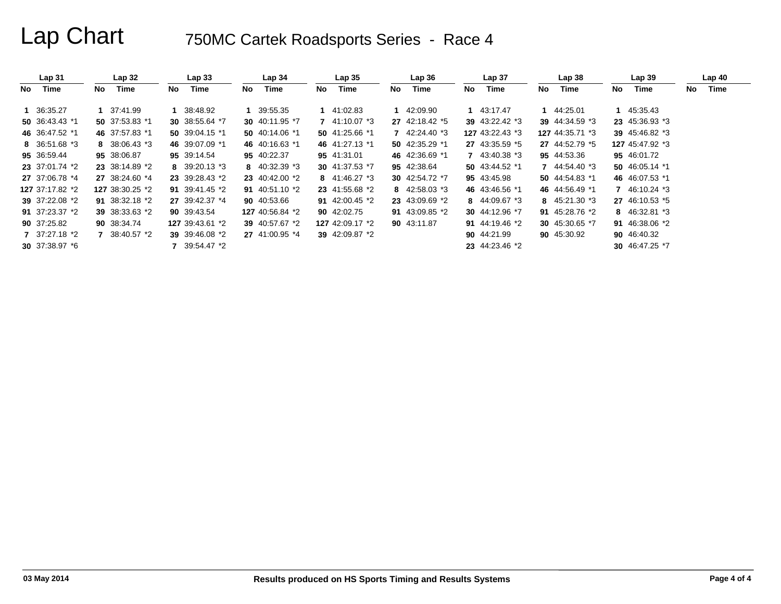|    | Lap <sub>31</sub> |    | Lap 32          |     | Lap <sub>33</sub> |     | Lap <sub>34</sub> |     | Lap <sub>35</sub> |     | Lap36            |    | Lap <sub>37</sub> |     | Lap38                          |    | Lap <sub>39</sub> |    | Lap40 |
|----|-------------------|----|-----------------|-----|-------------------|-----|-------------------|-----|-------------------|-----|------------------|----|-------------------|-----|--------------------------------|----|-------------------|----|-------|
| No | Time              | No | Time            | No. | Time              | No. | Time              | No. | Time              | No. | Time             | No | Time              | No. | Time                           | No | Time              | No | Time  |
|    | 1 36:35.27        |    | 37:41.99        |     | 38:48.92          |     | 1 39:55.35        |     | 1 41:02.83        |     | 42:09.90         |    | 1 43:17.47        |     | 1 44:25.01                     |    | 45:35.43          |    |       |
|    | 50 36:43.43 *1    |    | 50 37:53.83 *1  |     | 30 38:55.64 *7    |     | 30 40:11.95 *7    |     | 7 41:10.07 *3     |     | 27 42:18.42 *5   |    | 39 43:22.42 *3    |     | 39 44:34.59 *3                 |    | 23 45:36.93 *3    |    |       |
|    | 46 36:47.52 *1    |    | 46 37:57.83 *1  |     | 50 39:04.15 $*1$  |     | 50 40:14.06 *1    |     | 50 41:25.66 *1    |     | 7 42:24.40 *3    |    | 127 43:22.43 *3   |     | 127 44:35.71 *3                |    | 39 45:46.82 *3    |    |       |
|    | 8 36:51.68 *3     |    | 8 $38:06.43*3$  |     | 46 39:07.09 *1    |     | 46 40:16.63 *1    |     | 46 41:27.13 *1    |     | 50 $42:35.29$ *1 |    | 27 43:35.59 *5    |     | 27 44:52.79 *5                 |    | 127 45:47.92 *3   |    |       |
|    | 95 36:59.44       |    | 95 38:06.87     |     | 95 39:14.54       |     | 95 40:22.37       |     | 95 41:31.01       |     | 46 42:36.69 *1   |    | 7 43:40.38 *3     |     | 95 44:53.36                    |    | 95 46:01.72       |    |       |
|    | 23 37:01.74 *2    |    | 23 38:14.89 *2  |     | 8 39:20.13 *3     |     | 8 $40:32.39$ *3   |     | 30 41:37.53 *7    |     | 95 42:38.64      |    | 50 43:44.52 *1    |     | $7\quad 44:54.40\text{ }^{*}3$ |    | 50 46:05.14 *1    |    |       |
|    | 27 37:06.78 *4    |    | 27 38:24.60 *4  |     | 23 39:28.43 *2    |     | 23 40:42.00 *2    |     | 8 41:46.27 *3     |     | 30 42:54.72 *7   |    | 95 43:45.98       |     | 50 44:54.83 *1                 |    | 46 46:07.53 *1    |    |       |
|    | 127 37:17.82 *2   |    | 127 38:30.25 *2 |     | 91 39:41.45 *2    |     | 91 40:51.10 $*2$  |     | 23 41:55.68 *2    |     | 8 $42:58.03*3$   |    | 46 43:46.56 *1    |     | 46 44:56.49 *1                 | 7  | 46:10.24 *3       |    |       |
|    | 39 37:22.08 *2    |    | 91 38:32.18 *2  |     | 27 39:42.37 *4    |     | 90 40:53.66       |     | 91 42:00.45 $*2$  |     | 23 43:09.69 *2   |    | 8 44:09.67 *3     |     | 8 45:21.30 *3                  |    | 27 46:10.53 *5    |    |       |
|    | 91 37:23.37 *2    |    | 39 38:33.63 *2  |     | 90 39:43.54       |     | 127 40:56.84 *2   |     | 90 42:02.75       |     | 91 43:09.85 *2   |    | 30 44:12.96 *7    |     | 91 45:28.76 *2                 |    | 8 46:32.81 *3     |    |       |
|    | 90 37:25.82       |    | 90 38:34.74     |     | 127 39:43.61 *2   |     | 39 40:57.67 *2    |     | 127 42:09.17 *2   |     | 90 43:11.87      |    | 91 44:19.46 $*2$  |     | 30 45:30.65 *7                 |    | 91 46:38.06 *2    |    |       |
|    | 7 37:27.18 *2     |    | 7 38:40.57 *2   |     | 39 39:46.08 *2    |     | 27 41:00.95 *4    |     | 39 42:09.87 *2    |     |                  |    | 90 44:21.99       |     | 90 45:30.92                    |    | 90 46:40.32       |    |       |
|    | 30 37:38.97 *6    |    |                 |     | 7 39:54.47 *2     |     |                   |     |                   |     |                  |    | 23 44:23.46 *2    |     |                                |    | 30 46:47.25 *7    |    |       |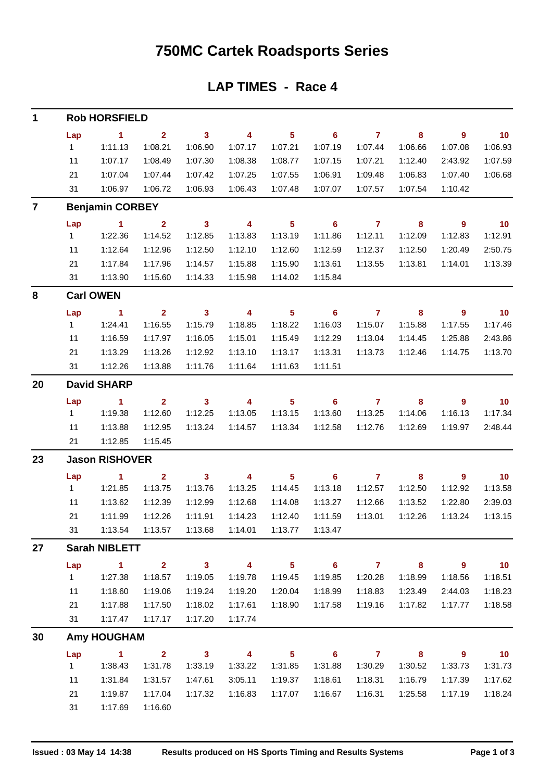### **750MC Cartek Roadsports Series**

#### **LAP TIMES - Race 4**

| 1  |              | <b>Rob HORSFIELD</b>          |                         |                            |                          |                            |                            |                |                            |                          |                          |
|----|--------------|-------------------------------|-------------------------|----------------------------|--------------------------|----------------------------|----------------------------|----------------|----------------------------|--------------------------|--------------------------|
|    | Lap          | $\blacksquare$ 1              | $\overline{2}$          | $\overline{\phantom{a}}$ 3 | $\overline{\phantom{a}}$ | $5\phantom{.0}$            | $\overline{\phantom{0}}$ 6 | $\overline{7}$ | 8                          | $\overline{\phantom{a}}$ | 10                       |
|    | 1            | 1:11.13                       | 1:08.21                 | 1:06.90                    | 1:07.17                  | 1:07.21                    | 1:07.19                    | 1:07.44        | 1:06.66                    | 1:07.08                  | 1:06.93                  |
|    | 11           | 1:07.17                       | 1:08.49                 | 1:07.30                    | 1:08.38                  | 1:08.77                    | 1:07.15                    | 1:07.21        | 1:12.40                    | 2:43.92                  | 1:07.59                  |
|    | 21           | 1:07.04                       | 1:07.44                 | 1:07.42                    | 1:07.25                  | 1:07.55                    | 1:06.91                    | 1:09.48        | 1:06.83                    | 1:07.40                  | 1:06.68                  |
|    | 31           | 1:06.97                       | 1:06.72                 | 1:06.93                    | 1:06.43                  | 1:07.48                    | 1:07.07                    | 1:07.57        | 1:07.54                    | 1:10.42                  |                          |
| 7  |              | <b>Benjamin CORBEY</b>        |                         |                            |                          |                            |                            |                |                            |                          |                          |
|    | Lap          | $\blacksquare$ 1              | $\overline{\mathbf{2}}$ | $\overline{\mathbf{3}}$    | $\overline{\mathbf{4}}$  | $\overline{\phantom{0}}$ 5 | $\overline{\phantom{0}}$ 6 | $\overline{7}$ | $\overline{\mathbf{8}}$    | $\overline{\phantom{a}}$ | $\overline{10}$          |
|    | 1            | 1:22.36                       | 1:14.52                 | 1:12.85                    | 1:13.83                  | 1:13.19                    | 1:11.86                    | 1:12.11        | 1:12.09                    | 1:12.83                  | 1:12.91                  |
|    | 11           | 1:12.64                       | 1:12.96                 | 1:12.50                    | 1:12.10                  | 1:12.60                    | 1:12.59                    | 1:12.37        | 1:12.50                    | 1:20.49                  | 2:50.75                  |
|    | 21           | 1:17.84                       | 1:17.96                 | 1:14.57                    | 1:15.88                  | 1:15.90                    | 1:13.61                    | 1:13.55        | 1:13.81                    | 1:14.01                  | 1:13.39                  |
|    | 31           | 1:13.90                       | 1:15.60                 | 1:14.33                    | 1:15.98                  | 1:14.02                    | 1:15.84                    |                |                            |                          |                          |
| 8  |              | <b>Carl OWEN</b>              |                         |                            |                          |                            |                            |                |                            |                          |                          |
|    | Lap          | $\blacksquare$ 1              | 2 <sup>1</sup>          | $\overline{\mathbf{3}}$    | $\overline{\phantom{a}}$ | $\overline{\phantom{0}}$ 5 | $\overline{\phantom{0}}$ 6 | $\overline{7}$ | $\overline{\phantom{a}}$ 8 | $\overline{\phantom{a}}$ | $\overline{10}$          |
|    | 1            | 1:24.41                       | 1:16.55                 | 1:15.79                    | 1:18.85                  | 1:18.22                    | 1:16.03                    | 1:15.07        | 1:15.88                    | 1:17.55                  | 1:17.46                  |
|    | 11           | 1:16.59                       | 1:17.97                 | 1:16.05                    | 1:15.01                  | 1:15.49                    | 1:12.29                    | 1:13.04        | 1:14.45                    | 1:25.88                  | 2:43.86                  |
|    | 21           | 1:13.29                       | 1:13.26                 | 1:12.92                    | 1:13.10                  | 1:13.17                    | 1:13.31                    | 1:13.73        | 1:12.46                    | 1:14.75                  | 1:13.70                  |
|    | 31           | 1:12.26                       | 1:13.88                 | 1:11.76                    | 1:11.64                  | 1:11.63                    | 1:11.51                    |                |                            |                          |                          |
| 20 |              | <b>David SHARP</b>            |                         |                            |                          |                            |                            |                |                            |                          |                          |
|    | Lap          | $\sim$ 1                      | $\mathbf{2}$            | $\sim$ 3                   | $\overline{\mathbf{4}}$  | 5 <sub>5</sub>             | $\overline{\phantom{0}}$ 6 | $\overline{7}$ | 8                          | 9                        | $\overline{\mathbf{10}}$ |
|    | 1            | 1:19.38                       | 1:12.60                 | 1:12.25                    | 1:13.05                  | 1:13.15                    | 1:13.60                    | 1:13.25        | 1:14.06                    | 1:16.13                  | 1:17.34                  |
|    | 11           | 1:13.88                       | 1:12.95                 | 1:13.24                    | 1:14.57                  | 1:13.34                    | 1:12.58                    | 1:12.76        | 1:12.69                    | 1:19.97                  | 2:48.44                  |
|    | 21           | 1:12.85                       | 1:15.45                 |                            |                          |                            |                            |                |                            |                          |                          |
| 23 |              | <b>Jason RISHOVER</b>         |                         |                            |                          |                            |                            |                |                            |                          |                          |
|    | Lap          | $\overline{1}$ $\overline{2}$ |                         | $\overline{\mathbf{3}}$    | $\overline{\mathbf{4}}$  | $\overline{\phantom{0}}$ 5 | $\overline{\phantom{0}}$ 6 | $\overline{7}$ | $\overline{\phantom{a}}$ 8 | $\overline{\phantom{a}}$ | $\overline{10}$          |
|    | $1 \quad$    | 1:21.85                       | 1:13.75                 | 1:13.76                    | 1:13.25                  | 1:14.45                    | 1:13.18                    | 1:12.57        | 1:12.50                    | 1:12.92                  | 1:13.58                  |
|    | 11           | 1:13.62                       | 1:12.39                 | 1:12.99                    | 1:12.68                  | 1:14.08                    | 1:13.27                    | 1:12.66        | 1:13.52                    | 1:22.80                  | 2:39.03                  |
|    | 21           | 1:11.99                       | 1:12.26                 | 1:11.91                    | 1:14.23                  | 1:12.40                    | 1:11.59                    | 1:13.01        | 1:12.26                    | 1:13.24                  | 1:13.15                  |
|    | 31           | 1:13.54                       | 1:13.57                 | 1:13.68                    | 1:14.01                  | 1:13.77                    | 1:13.47                    |                |                            |                          |                          |
| 27 |              | <b>Sarah NIBLETT</b>          |                         |                            |                          |                            |                            |                |                            |                          |                          |
|    | Lap          | $\mathbf{1}$                  | $\overline{2}$          | 3 <sup>1</sup>             | $\overline{\mathbf{4}}$  | 5 <sub>5</sub>             | $\overline{\phantom{0}}$ 6 | $\overline{7}$ | $\bf{8}$                   | 9                        | 10                       |
|    | $\mathbf{1}$ | 1:27.38                       | 1:18.57                 | 1:19.05                    | 1:19.78                  | 1:19.45                    | 1:19.85                    | 1:20.28        | 1:18.99                    | 1:18.56                  | 1:18.51                  |
|    | 11           | 1:18.60                       | 1:19.06                 | 1:19.24                    | 1:19.20                  | 1:20.04                    | 1:18.99                    | 1:18.83        | 1:23.49                    | 2:44.03                  | 1:18.23                  |
|    | 21           | 1:17.88                       | 1:17.50                 | 1:18.02                    | 1:17.61                  | 1:18.90                    | 1:17.58                    | 1:19.16        | 1:17.82                    | 1:17.77                  | 1:18.58                  |
|    | 31           | 1:17.47                       | 1:17.17                 | 1:17.20                    | 1:17.74                  |                            |                            |                |                            |                          |                          |
| 30 |              | <b>Amy HOUGHAM</b>            |                         |                            |                          |                            |                            |                |                            |                          |                          |
|    | Lap          | $\mathbf{1}$                  | $\overline{2}$          | 3 <sup>1</sup>             | $\overline{\mathbf{4}}$  | 5 <sub>5</sub>             | $6\phantom{1}6$            | $\overline{7}$ | 8                          | 9                        | 10                       |
|    | 1            | 1:38.43                       | 1:31.78                 | 1:33.19                    | 1:33.22                  | 1:31.85                    | 1:31.88                    | 1:30.29        | 1:30.52                    | 1:33.73                  | 1:31.73                  |
|    | 11           | 1:31.84                       | 1:31.57                 | 1:47.61                    | 3:05.11                  | 1:19.37                    | 1:18.61                    | 1:18.31        | 1:16.79                    | 1:17.39                  | 1:17.62                  |
|    | 21           | 1:19.87                       | 1:17.04                 | 1:17.32                    | 1:16.83                  | 1:17.07                    | 1:16.67                    | 1:16.31        | 1:25.58                    | 1:17.19                  | 1:18.24                  |
|    | 31           | 1:17.69                       | 1:16.60                 |                            |                          |                            |                            |                |                            |                          |                          |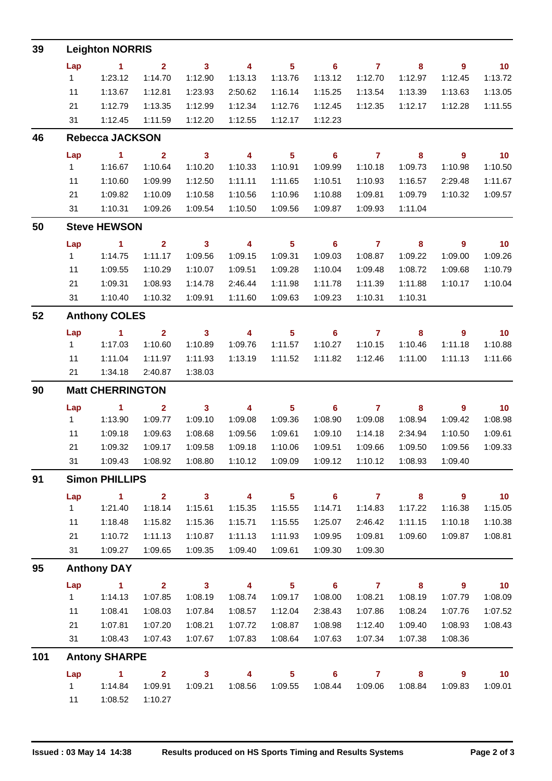| 39  |     | <b>Leighton NORRIS</b>  |                         |                            |                          |                 |                            |                |                            |                          |                             |
|-----|-----|-------------------------|-------------------------|----------------------------|--------------------------|-----------------|----------------------------|----------------|----------------------------|--------------------------|-----------------------------|
|     | Lap | $\blacksquare$          | $\overline{2}$          | $\mathbf{3}$               | $\overline{4}$           | 5 <sub>5</sub>  | $\overline{\phantom{0}}$ 6 | $\overline{7}$ | 8                          | $\overline{9}$           | $\blacksquare$ 10           |
|     | 1   | 1:23.12                 | 1:14.70                 | 1:12.90                    | 1:13.13                  | 1:13.76         | 1:13.12                    | 1:12.70        | 1:12.97                    | 1:12.45                  | 1:13.72                     |
|     | 11  | 1:13.67                 | 1:12.81                 | 1:23.93                    | 2:50.62                  | 1:16.14         | 1:15.25                    | 1:13.54        | 1:13.39                    | 1:13.63                  | 1:13.05                     |
|     | 21  | 1:12.79                 | 1:13.35                 | 1:12.99                    | 1:12.34                  | 1:12.76         | 1:12.45                    | 1:12.35        | 1:12.17                    | 1:12.28                  | 1:11.55                     |
|     | 31  | 1:12.45                 | 1:11.59                 | 1:12.20                    | 1:12.55                  | 1:12.17         | 1:12.23                    |                |                            |                          |                             |
| 46  |     | <b>Rebecca JACKSON</b>  |                         |                            |                          |                 |                            |                |                            |                          |                             |
|     | Lap | $\sim$ 1                | $\overline{2}$          | $\overline{\phantom{a}}$ 3 | $\overline{4}$           | $5\phantom{.0}$ | $\overline{\phantom{0}}$ 6 | $\overline{7}$ | 8                          | $\overline{9}$           | $\overline{10}$             |
|     | 1   | 1:16.67                 | 1:10.64                 | 1:10.20                    | 1:10.33                  | 1:10.91         | 1:09.99                    | 1:10.18        | 1:09.73                    | 1:10.98                  | 1:10.50                     |
|     | 11  | 1:10.60                 | 1:09.99                 | 1:12.50                    | 1:11.11                  | 1:11.65         | 1:10.51                    | 1:10.93        | 1:16.57                    | 2:29.48                  | 1:11.67                     |
|     | 21  | 1:09.82                 | 1:10.09                 | 1:10.58                    | 1:10.56                  | 1:10.96         | 1:10.88                    | 1:09.81        | 1:09.79                    | 1:10.32                  | 1:09.57                     |
|     | 31  | 1:10.31                 | 1:09.26                 | 1:09.54                    | 1:10.50                  | 1:09.56         | 1:09.87                    | 1:09.93        | 1:11.04                    |                          |                             |
| 50  |     | <b>Steve HEWSON</b>     |                         |                            |                          |                 |                            |                |                            |                          |                             |
|     | Lap | $\blacksquare$ 1        | $\overline{2}$          | $\overline{\phantom{a}}$ 3 | $\overline{\phantom{a}}$ | $5\phantom{.0}$ | $\overline{\phantom{0}}$ 6 | $\overline{7}$ | $\overline{\phantom{a}}$ 8 | $\overline{\phantom{a}}$ | $\overline{\phantom{0}}$ 10 |
|     | 1   | 1:14.75                 | 1:11.17                 | 1:09.56                    | 1:09.15                  | 1:09.31         | 1:09.03                    | 1:08.87        | 1:09.22                    | 1:09.00                  | 1:09.26                     |
|     | 11  | 1:09.55                 | 1:10.29                 | 1:10.07                    | 1:09.51                  | 1:09.28         | 1:10.04                    | 1:09.48        | 1:08.72                    | 1:09.68                  | 1:10.79                     |
|     | 21  | 1:09.31                 | 1:08.93                 | 1:14.78                    | 2:46.44                  | 1:11.98         | 1:11.78                    | 1:11.39        | 1:11.88                    | 1:10.17                  | 1:10.04                     |
|     | 31  | 1:10.40                 | 1:10.32                 | 1:09.91                    | 1:11.60                  | 1:09.63         | 1:09.23                    | 1:10.31        | 1:10.31                    |                          |                             |
| 52  |     | <b>Anthony COLES</b>    |                         |                            |                          |                 |                            |                |                            |                          |                             |
|     | Lap | $\blacksquare$ 1        | $\overline{2}$          | $\overline{\phantom{a}}$ 3 | 4                        | $5\phantom{.0}$ | $\overline{\phantom{0}}$ 6 | $\overline{7}$ | 8                          | 9                        | $\overline{10}$             |
|     | 1   | 1:17.03                 | 1:10.60                 | 1:10.89                    | 1:09.76                  | 1:11.57         | 1:10.27                    | 1:10.15        | 1:10.46                    | 1:11.18                  | 1:10.88                     |
|     | 11  | 1:11.04                 | 1:11.97                 | 1:11.93                    | 1:13.19                  | 1:11.52         | 1:11.82                    | 1:12.46        | 1:11.00                    | 1:11.13                  | 1:11.66                     |
|     | 21  | 1:34.18                 | 2:40.87                 | 1:38.03                    |                          |                 |                            |                |                            |                          |                             |
| 90  |     | <b>Matt CHERRINGTON</b> |                         |                            |                          |                 |                            |                |                            |                          |                             |
|     | Lap | $\sim$ 1                | $\overline{\mathbf{2}}$ | $\overline{\phantom{a}}$ 3 | $\overline{\mathbf{4}}$  | $5\phantom{.0}$ | $\overline{\phantom{0}}$ 6 | $\overline{7}$ | 8                          | $\overline{9}$           | $\blacksquare$ 10           |
|     | 1   | 1:13.90                 | 1:09.77                 | 1:09.10                    | 1:09.08                  | 1:09.36         | 1:08.90                    | 1:09.08        | 1:08.94                    | 1:09.42                  | 1:08.98                     |
|     | 11  | 1:09.18                 | 1:09.63                 | 1:08.68                    | 1:09.56                  | 1:09.61         | 1:09.10                    | 1:14.18        | 2:34.94                    | 1:10.50                  | 1:09.61                     |
|     | 21  | 1:09.32                 | 1:09.17                 | 1:09.58                    | 1:09.18                  | 1:10.06         | 1:09.51                    | 1:09.66        | 1:09.50                    | 1:09.56                  | 1:09.33                     |
|     | 31  | 1:09.43                 | 1:08.92                 | 1:08.80                    | 1:10.12                  | 1:09.09         | 1:09.12                    | 1:10.12        | 1:08.93                    | 1:09.40                  |                             |
| 91  |     | <b>Simon PHILLIPS</b>   |                         |                            |                          |                 |                            |                |                            |                          |                             |
|     | Lap | $\sim$ 1                | $\overline{2}$          | $\overline{\mathbf{3}}$    | $\overline{4}$           | 5 <sub>5</sub>  | $\overline{\phantom{0}}$ 6 | $\overline{7}$ | $\overline{\mathbf{8}}$    | $\overline{\phantom{a}}$ | 10                          |
|     | 1   | 1:21.40                 | 1:18.14                 | 1:15.61                    | 1:15.35                  | 1:15.55         | 1:14.71                    | 1:14.83        | 1:17.22                    | 1:16.38                  | 1:15.05                     |
|     | 11  | 1:18.48                 | 1:15.82                 | 1:15.36                    | 1:15.71                  | 1:15.55         | 1:25.07                    | 2:46.42        | 1:11.15                    | 1:10.18                  | 1:10.38                     |
|     | 21  | 1:10.72                 | 1:11.13                 | 1:10.87                    | 1:11.13                  | 1:11.93         | 1:09.95                    | 1:09.81        | 1:09.60                    | 1:09.87                  | 1:08.81                     |
|     | 31  | 1:09.27                 | 1:09.65                 | 1:09.35                    | 1:09.40                  | 1:09.61         | 1:09.30                    | 1:09.30        |                            |                          |                             |
| 95  |     | <b>Anthony DAY</b>      |                         |                            |                          |                 |                            |                |                            |                          |                             |
|     | Lap | $\sim$ 1                | $\overline{2}$          | $\overline{\mathbf{3}}$    | $\overline{\mathbf{4}}$  | 5 <sub>5</sub>  | $\overline{\phantom{0}}$ 6 | $\overline{7}$ | 8                          | 9                        | 10                          |
|     | 1   | 1:14.13                 | 1:07.85                 | 1:08.19                    | 1:08.74                  | 1:09.17         | 1:08.00                    | 1:08.21        | 1:08.19                    | 1:07.79                  | 1:08.09                     |
|     | 11  | 1:08.41                 | 1:08.03                 | 1:07.84                    | 1:08.57                  | 1:12.04         | 2:38.43                    | 1:07.86        | 1:08.24                    | 1:07.76                  | 1:07.52                     |
|     | 21  | 1:07.81                 | 1:07.20                 | 1:08.21                    | 1:07.72                  | 1:08.87         | 1:08.98                    | 1:12.40        | 1:09.40                    | 1:08.93                  | 1:08.43                     |
|     | 31  | 1:08.43                 | 1:07.43                 | 1:07.67                    | 1:07.83                  | 1:08.64         | 1:07.63                    | 1:07.34        | 1:07.38                    | 1:08.36                  |                             |
| 101 |     | <b>Antony SHARPE</b>    |                         |                            |                          |                 |                            |                |                            |                          |                             |
|     | Lap | $\mathbf 1$             | $\overline{2}$          | $\mathbf{3}$               | $\overline{\mathbf{4}}$  | 5 <sub>5</sub>  | $6\phantom{1}$             | $\mathbf{7}$   | 8                          | 9                        | 10                          |
|     | 1   | 1:14.84                 | 1:09.91                 | 1:09.21                    | 1:08.56                  | 1:09.55         | 1:08.44                    | 1:09.06        | 1:08.84                    | 1:09.83                  | 1:09.01                     |
|     | 11  | 1:08.52                 | 1:10.27                 |                            |                          |                 |                            |                |                            |                          |                             |